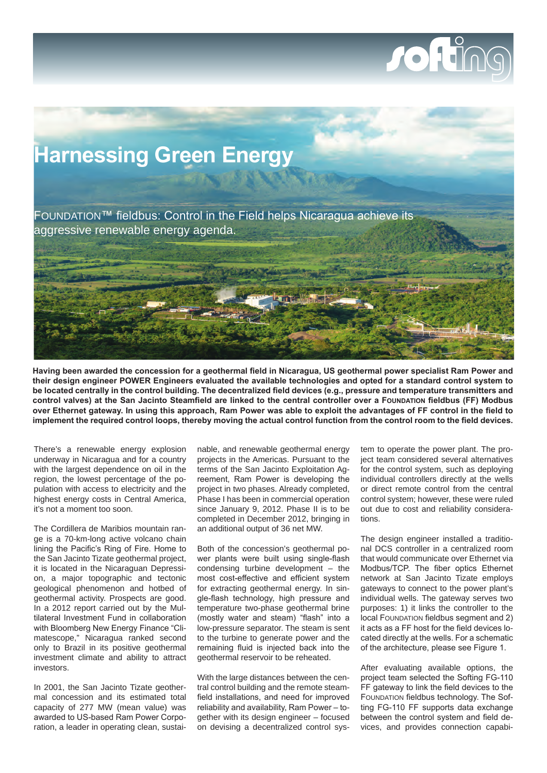## JOHT



**Having been awarded the concession for a geothermal field in Nicaragua, US geothermal power specialist Ram Power and their design engineer POWER Engineers evaluated the available technologies and opted for a standard control system to be located centrally in the control building. The decentralized field devices (e.g., pressure and temperature transmitters and control valves) at the San Jacinto Steamfield are linked to the central controller over a FOUNDATION fieldbus (FF) Modbus over Ethernet gateway. In using this approach, Ram Power was able to exploit the advantages of FF control in the field to implement the required control loops, thereby moving the actual control function from the control room to the field devices.**

There's a renewable energy explosion underway in Nicaragua and for a country with the largest dependence on oil in the region, the lowest percentage of the population with access to electricity and the highest energy costs in Central America, it's not a moment too soon.

The Cordillera de Maribios mountain range is a 70-km-long active volcano chain lining the Pacific's Ring of Fire. Home to the San Jacinto Tizate geothermal project, it is located in the Nicaraguan Depression, a major topographic and tectonic geological phenomenon and hotbed of geothermal activity. Prospects are good. In a 2012 report carried out by the Multilateral Investment Fund in collaboration with Bloomberg New Energy Finance "Climatescope," Nicaragua ranked second only to Brazil in its positive geothermal investment climate and ability to attract investors.

In 2001, the San Jacinto Tizate geothermal concession and its estimated total capacity of 277 MW (mean value) was awarded to US-based Ram Power Corporation, a leader in operating clean, sustainable, and renewable geothermal energy projects in the Americas. Pursuant to the terms of the San Jacinto Exploitation Agreement, Ram Power is developing the project in two phases. Already completed, Phase I has been in commercial operation since January 9, 2012. Phase II is to be completed in December 2012, bringing in an additional output of 36 net MW.

Both of the concession's geothermal power plants were built using single-flash condensing turbine development – the most cost-effective and efficient system for extracting geothermal energy. In single-flash technology, high pressure and temperature two-phase geothermal brine (mostly water and steam) "flash" into a low-pressure separator. The steam is sent to the turbine to generate power and the remaining fluid is injected back into the geothermal reservoir to be reheated.

With the large distances between the central control building and the remote steamfield installations, and need for improved reliability and availability, Ram Power – together with its design engineer – focused on devising a decentralized control system to operate the power plant. The project team considered several alternatives for the control system, such as deploying individual controllers directly at the wells or direct remote control from the central control system; however, these were ruled out due to cost and reliability considerations.

The design engineer installed a traditional DCS controller in a centralized room that would communicate over Ethernet via Modbus/TCP. The fiber optics Ethernet network at San Jacinto Tizate employs gateways to connect to the power plant's individual wells. The gateway serves two purposes: 1) it links the controller to the local FOUNDATION fieldbus segment and 2) it acts as a FF host for the field devices located directly at the wells. For a schematic of the architecture, please see Figure 1.

After evaluating available options, the project team selected the Softing FG-110 FF gateway to link the field devices to the FOUNDATION fieldbus technology. The Softing FG-110 FF supports data exchange between the control system and field devices, and provides connection capabi-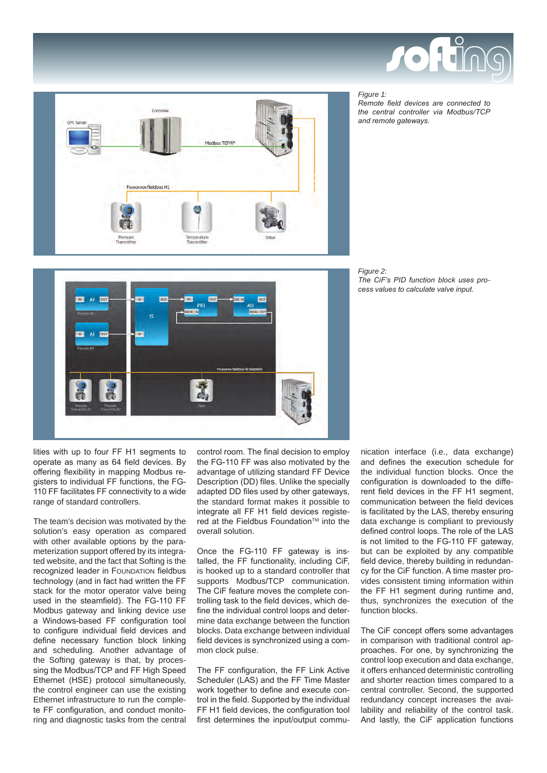

## *Figure 1:*

*Remote field devices are connected to the central controller via Modbus/TCP and remote gateways.*







lities with up to four FF H1 segments to operate as many as 64 field devices. By offering flexibility in mapping Modbus registers to individual FF functions, the FG-110 FF facilitates FF connectivity to a wide range of standard controllers.

The team's decision was motivated by the solution's easy operation as compared with other available options by the parameterization support offered by its integrated website, and the fact that Softing is the recognized leader in FOUNDATION fieldbus technology (and in fact had written the FF stack for the motor operator valve being used in the steamfield). The FG-110 FF Modbus gateway and linking device use a Windows-based FF configuration tool to configure individual field devices and define necessary function block linking and scheduling. Another advantage of the Softing gateway is that, by processing the Modbus/TCP and FF High Speed Ethernet (HSE) protocol simultaneously, the control engineer can use the existing Ethernet infrastructure to run the complete FF configuration, and conduct monitoring and diagnostic tasks from the central

control room. The final decision to employ the FG-110 FF was also motivated by the advantage of utilizing standard FF Device Description (DD) files. Unlike the specially adapted DD files used by other gateways, the standard format makes it possible to integrate all FF H1 field devices registered at the Fieldbus Foundation™ into the overall solution.

Once the FG-110 FF gateway is installed, the FF functionality, including CiF, is hooked up to a standard controller that supports Modbus/TCP communication. The CiF feature moves the complete controlling task to the field devices, which define the individual control loops and determine data exchange between the function blocks. Data exchange between individual field devices is synchronized using a common clock pulse.

The FF configuration, the FF Link Active Scheduler (LAS) and the FF Time Master work together to define and execute control in the field. Supported by the individual FF H1 field devices, the configuration tool first determines the input/output communication interface (i.e., data exchange) and defines the execution schedule for the individual function blocks. Once the configuration is downloaded to the different field devices in the FF H1 segment, communication between the field devices is facilitated by the LAS, thereby ensuring data exchange is compliant to previously defined control loops. The role of the LAS is not limited to the FG-110 FF gateway, but can be exploited by any compatible field device, thereby building in redundancy for the CiF function. A time master provides consistent timing information within the FF H1 segment during runtime and, thus, synchronizes the execution of the function blocks.

The CiF concept offers some advantages in comparison with traditional control approaches. For one, by synchronizing the control loop execution and data exchange, it offers enhanced deterministic controlling and shorter reaction times compared to a central controller. Second, the supported redundancy concept increases the availability and reliability of the control task. And lastly, the CiF application functions